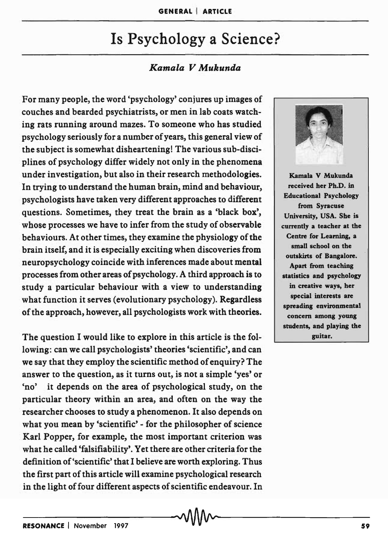# Is Psychology a Science?

## *Kamala V Mukunda*

For many people, the word 'psychology' conjures up images of couches and bearded psychiatrists, or men in lab coats watching rats running around mazes. To someone who has studied psychology seriously for a number of years, this general view of the subject is somewhat disheartening! The various sub-disciplines of psychology differ widely not only in the phenomena under investigation, but also in their research methodologies. In trying to understand the human brain, mind and behaviour, psychologists have taken very different approaches to different questions. Sometimes, they treat the brain as a 'black box', whose processes we have to infer from the study of observable behaviours. At other times, they examine the physiology of the brain itself, and it is especially exciting when discoveries from neuropsychology coincide with inferences made about mental processes from other areas of psychology. A third approach is to study a particular behaviour with a view to understanding what function it serves (evolutionary psychology). Regardless of the approach, however, all psychologists work with theories.

The question I would like to explore in this article is the following: can we call psychologists' theories 'scientific', and can we say that they employ the scientific method of enquiry? The answer to the question, as it turns out, is not a simple 'yes' or 'no' it depends on the area of psychological study, on the particular theory within an area, and often on the way the researcher chooses to study a phenomenon. It also depends on what you mean by 'scientific' - for the philosopher of science Karl Popper, for example, the most important criterion was what he called 'falsifiability'. Yet there are other criteria for the definition of 'scientific' that I believe are worth exploring. Thus the first part of this article will examine psychological research in the light of four different aspects of scientific endeavour. In



Kamala V Mukunda received her Ph.D. in Educational Psychology from Syracuse University, USA. She is currently a teacher at the Centre for Learning, a small school on the outskirts of Bangalore. Apart from teaching statistics and psychology in creative ways, her special interests are spreading environmental concern among young students, and playing the guitar.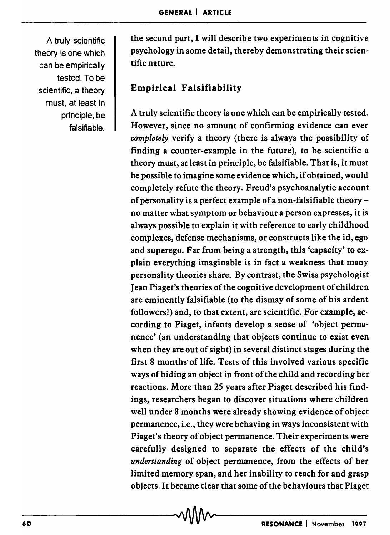A truly scientific theory is one which can be empirically tested. To be scientific, a theory must, at least in principle, be falsifiable.

the second part, I will describe two experiments in cognitive psychology in some detail, thereby demonstrating their scientific nature.

## Empirical Falsifiability

A truly scientific theory is one which can be empirically tested. However, since no amount of confirming evidence can ever *completely* verify a theory (there is always the possibility of finding a counter-example in the future), to be scientific a theory must, at least in principle, be falsifiable. That is, it must be possible to imagine some evidence which, if obtained, would completely refute the theory. Freud's psychoanalytic account of personality is a perfect example of a non-falsifiable theoryno matter what symptom or behaviour a person expresses, it is always possible to explain it with reference to early childhood complexes, defense mechanisms, or constructs like the id, ego and superego. Far from being a strength, this 'capacity' to explain everything imaginable is in fact a weakness that many personality theories share. By contrast, the Swiss psychologist Jean Piaget's theories of the cognitive development of children are eminently falsifiable (to the dismay of some of his ardent followers!) and, to that extent, are scientific. For example, according to Piaget, infants develop a sense of 'object permanence' (an understanding that objects continue to exist even when they are out of sight) in several distinct stages during the first 8 months' of life. Tests of this involved various specific ways of hiding an object in front of the child and recording her reactions. More than 25 years after Piaget described his findings, researchers began to discover situations where children well under 8 months were already showing evidence of object permanence, i.e., they were behaving in ways inconsistent with Piaget's theory of object permanence. Their experiments were carefully designed to separate the effects of the child's *understanding* of object permanence, from the effects of her limited memory span, and her inability to reach for and grasp objects. It became clear that some of the behaviours that Piaget Initied memory span, and her inability to reach for and grasp<br>objects. It became clear that some of the behaviours that Piaget<br>objects. It became clear that some of the behaviours that Piaget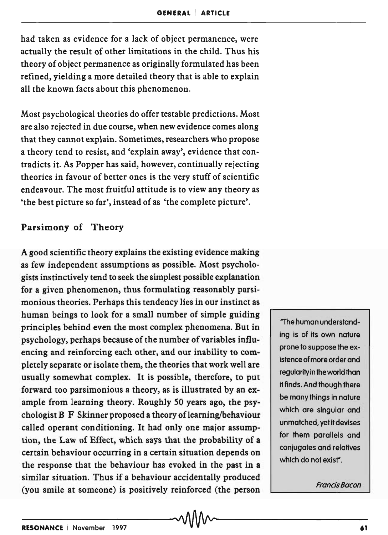had taken as evidence for a lack of object permanence, were actually the result of other limitations in the child. Thus his theory of object permanence as originally formulated has been refined, yielding a more detailed theory that is able to explain all the known facts about this phenomenon.

Most psychological theories do offer testable predictions. Most are also rejected in due course, when new evidence comes along that they cannot explain. Sometimes, researchers who propose a theory tend to resist, and 'explain away', evidence that contradicts it. As Popper has said, however, continually rejecting theories in favour of better ones is the very stuff of scientific endeavour. The most fruitful attitude is to view any theory as 'the best picture so far', instead of as 'the complete picture'.

## Parsimony of Theory

A good scientific theory explains the existing evidence making as few independent assumptions as possible. Most psychologists instinctively tend to seek the simplest possible explanation for a given phenomenon, thus formulating reasonably parsimonious theories. Perhaps this tendency lies in our instinct as human beings to look for a small number of simple guiding principles behind even the most complex phenomena. But in psychology, perhaps because of the number of variables influencing and reinforcing each other, and our inability to completely separate or isolate them, the theories that work well are usually somewhat complex. It is possible, therefore, to put forward too parsimonious a theory, as is illustrated by an example from learning theory. Roughly 50 years ago, the psychologist  $B$  F Skinner proposed a theory of learning/behaviour called operant conditioning. It had only one major assumption, the Law of Effect, which says that the probability of a certain behaviour occurring in a certain situation depends on the response that the behaviour has evoked in the past in a similar situation. Thus if a behaviour accidentally produced (you smile at someone) is positively reinforced (the person

"The human understanding is of its own nature prone to suppose the existence of more order and regularity in the world than it finds. And though there be many things in nature which are singular and unmatched, yet it devises for them parallels and conjugates and relatives which do not exist".

Francis Bacon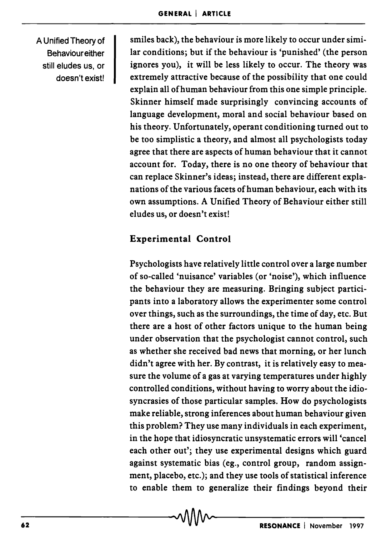A Unified Theory of **Behaviour either** still eludes us, or doesn't exist! smiles back), the behaviour is more likely to occur under similar conditions; but if the behaviour is 'punished' (the person ignores you), it will be less likely to occur. The theory was extremely attractive because of the possibility that one could explain all of human behaviour from this one simple principle. Skinner himself made surprisingly convincing accounts of language development, moral and social behaviour based on his theory. Unfortunately, operant conditioning turned out to be too simplistic a theory, and almost all psychologists today agree that there are aspects of human behaviour that it cannot account for. Today, there is no one theory of behaviour that can replace Skinner's ideas; instead, there are different explanations of the various facets of human behaviour, each with its own assumptions. A Unified Theory of Behaviour either still eludes us, or doesn't exist!

## **Experimental Control**

Psychologists have relatively little control over a large number of so-called 'nuisance' variables (or 'noise'), which influence the behaviour they are measuring. Bringing subject participants into a laboratory allows the experimenter some control over things, such as the surroundings, the time of day, etc. But there are a host of other factors unique to the human being under observation that the psychologist cannot control, such as whether she received bad news that morning, or her lunch didn't agree with her. By contrast, it is relatively easy to measure the volume of a gas at varying temperatures under highly controlled conditions, without having to worry about the idiosyncrasies of those particular samples. How do psychologists make reliable, strong inferences about human behaviour given this problem? They use many individuals in each experiment, in the hope that idiosyncratic unsystematic errors will 'cancel each other out'; they use experimental designs which guard against systematic bias (eg., control group, random assignment, placebo, etc.); and they use tools of statistical inference to enable them to generalize their findings beyond their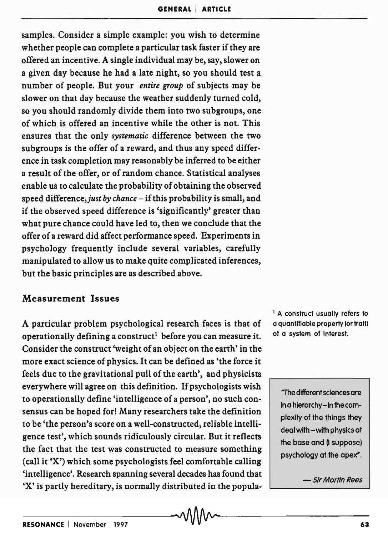samples. Consider a simple example: you wish to determine whether people can complete a particular task faster if they are offered an incentive. A single individual may be, say, slower on a given day because he had a late night, so you should test a number of people. But your *entire group* of subjects may be slower on that day because the weather suddenly turned cold, so you should randomly divide them into two subgroups, one of which is offered an incentive while the other is not. This ensures that the only *systematic* difference between the two subgroups is the offer of a reward, and thus any speed difference in task completion may reasonably be inferred to be either a result of the offer, or of random chance. Statistical analyses enable us to calculate the probability of obtaining the observed speed difference, *just by chance* - if this probability is small, and if the observed speed difference is 'significantly' greater than what pure chance could have led to, then we conclude that the offer of a reward did affect performance speed. Experiments in psychology frequently include several variables, carefully manipulated to allow us to make quite complicated inferences, but the basic principles are as described above.

## Measurement Issues

A particular problem psychological research faces is that of a quantifiable property (or trait) operationally defining a construct<sup>1</sup> before you can measure it. of a system of interest. Consider the construct 'weight of an object on the earth' in the more exact science of physics. It can be defined as 'the force it feels due to the gravitational pull of the earth', and physicists everywhere will agree on this definition. If psychologists wish to operationally define 'intelligence of a person', no such consensus can be hoped for! Many researchers take the definition to be 'the person's score on a well-constructed, reliable intelligence test', which sounds ridiculously circular. But it reflects the fact that the test was constructed to measure something (call it 'X') which some psychologists feel comfortable calling 'intelligence'. Research spanning several decades has found that 'X' is partly hereditary, is normally distributed in the popula-

<sup>1</sup> A construct usually refers to

"'The different sciences are In a hierarchy-in the complexity of the things they deal with - with physics at the base and (I suppose) psychology at the apex".

- Sir Morlin Rees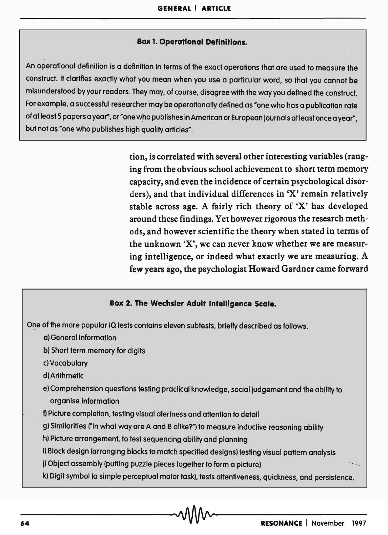#### Box 1. Operational Definitions.

An operational definition is a definition in terms of the exact operations that are used to measure the construct. It clarifies exactly what you mean when you use a particular word, so that you cannot be misunderstood by your readers. They may, of course, disagree with the way you defined the construct. For example, a successful researcher may be operationally defined as "one who has a publication rate of at least 5 papers a year", or "one who publishes in American or European journals at least once a year", but not as "one who publishes high quality articles".

> tion, is correlated with several other interesting variables (ranging from the obvious school achievement to short term memory capacity, and even the incidence of certain psychological disorders), and that individual differences in 'X' remain relatively stable across age. A fairly rich theory of 'X' has developed around these findings. Yet however rigorous the research methods, and however scientific the theory when stated in terms of the unknown 'X', we can never know whether we are measuring intelligence, or indeed what exactly we are measuring. A few years ago, the psychologist Howard Gardner came forward

#### Box 2. The Wechsler Adult Intelligence Scale.

One of the more popular IQ tests contains eleven subtests, briefly described as follows.

a) General information

b) Short term memory for digits

c) Vocabulary

d) Arithmetic

e) Comprehension questions testing practical knowledge, social judgement and the ability to organise information

f) Picture completion, testing visual alertness and attention to detail

g) Similarities ("In what way are A and B alike?") to measure inductive reasoning ability

h) Picture arrangement, to test sequencing ability and planning

i) Block design (arranging blocks to match specified designs) testing visual pattern analysis

j) Object assembly (putting puzzle pieces together to form a picture)

k) Digit symbol (a simple perceptual motor task), tests attentiveness, quickness, and persistence.

 $\sim$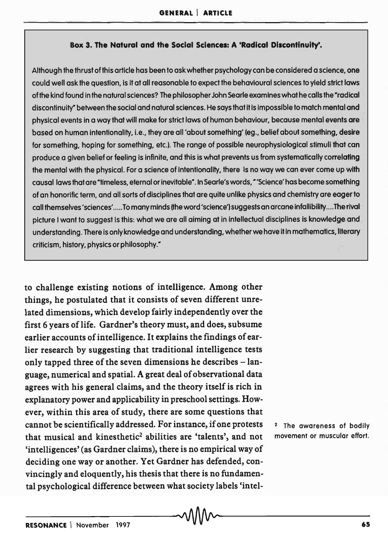#### **Box 3. The Natural and the Social Sciences: A 'Radical Discontinuity'.**

Although the thrust ofthis article has been to ask whether psychology can be considered a science, one could well ask the question, is it at all reasonable to expect the behavioural sciences to yield strict laws of the kind found in the natural sciences? The philosopher John Searle examines what he calls the "radical discontinuity" between the social and natural sciences. He says that it is impossible to match mental and physical events in a way that will make for strict laws of human behaviour, because mental events are based on human intentionality, i.e., they are all 'about something' (eg., belief about something, desire for something, hoping for something, etc.). The range of possible neurophysiological stimuli that can produce a given belief or feeling is infinite, and this is what prevents us from systematically correlating the mental with the physical. For a science of intentionality, there is no way we can ever come up with causal laws that are "timeless, eternal or inevitable". In Searle's words, "'Science' has become something of an honorific term, and all sorts of disciplines that are quite unlike physics and chemistry are eager to call themselves 'sciences'..... To many minds (the word 'science') suggests an arcane infallibility.... The rival picture I want to suggest is this: what we are all aiming at in intellectual disciplines is knowledge and understanding. There is only knowledge and understanding, whether we have it in mathematics, literary criticism, history, physics or philosophy."

to challenge existing notions of intelligence. Among other things, he postulated that it consists of seven different unrelated dimensions, which develop fairly independently over the first 6 years of life. Gardner's theory must, and does, subsume earlier accounts of intelligence. It explains the findings of earlier research by suggesting that traditional intelligence tests only tapped three of the seven dimensions he describes - language, numerical and spatial. A great deal of observational data agrees with his general claims, and the theory itself is rich in explanatory power and applicability in preschool settings. However, within this area of study, there are some questions that cannot be scientifically addressed. For instance, if one protests  $2$  The awareness of bodily that musical and kinesthetic<sup>2</sup> abilities are 'talents', and not movement or muscular effort. 'intelligences' (as Gardner claims), there is no empirical way of deciding one way or another. Yet Gardner has defended, convincingly and eloquently, his thesis that there is no fundamental psychological difference between what society labels 'intel-